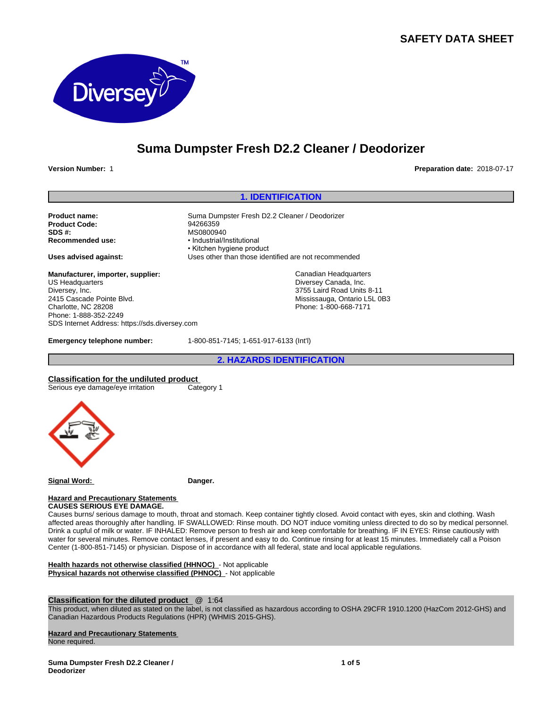# **SAFETY DATA SHEET**



# **Suma Dumpster Fresh D2.2 Cleaner / Deodorizer**

**Version Number:** 1 **Preparation date:** 2018-07-17

#### **1. IDENTIFICATION**

**Product name:** Suma Dumpster Fresh D2.2 Cleaner / Deodorizer<br> **Product Code:** 94266359 **Product Code:**<br>SDS #: **SDS #:**<br> **Recommended use:**<br> **exampled use:**<br> **example 10**<br> **example 10**<br> **example 10**<br> **example 10** 

**Manufacturer, importer, supplier:** US Headquarters Diversey, Inc. 2415 Cascade Pointe Blvd. Charlotte, NC 28208 Phone: 1-888-352-2249 SDS Internet Address: https://sds.diversey.com

**Recommended use:** •Industrial/Institutional • Kitchen hygiene product **Uses advised against:** Uses other than those identified are not recommended

> Canadian Headquarters Diversey Canada, Inc. 3755 Laird Road Units 8-11 Mississauga, Ontario L5L 0B3 Phone: 1-800-668-7171

**Emergency telephone number:** 1-800-851-7145; 1-651-917-6133 (Int'l)

**2. HAZARDS IDENTIFICATION**

**Classification for the undiluted product**

Serious eye damage/eye irritation Category 1



**Signal Word: Danger.**

#### **Hazard and Precautionary Statements CAUSES SERIOUS EYE DAMAGE.**

Causes burns/ serious damage to mouth, throat and stomach. Keep container tightly closed. Avoid contact with eyes, skin and clothing. Wash affected areas thoroughly after handling. IF SWALLOWED: Rinse mouth. DO NOT induce vomiting unless directed to do so by medical personnel. Drink a cupful of milk or water. IF INHALED: Remove person to fresh air and keep comfortable for breathing. IF IN EYES: Rinse cautiously with water for several minutes. Remove contact lenses, if present and easy to do. Continue rinsing for at least 15 minutes. Immediately call a Poison Center (1-800-851-7145) or physician. Dispose of in accordance with all federal, state and local applicable regulations.

**Health hazards not otherwise classified (HHNOC)** - Not applicable **Physical hazards not otherwise classified (PHNOC)** - Not applicable

# **Classification for the diluted product** @ 1:64

This product, when diluted as stated on the label, is not classified as hazardous according to OSHA 29CFR 1910.1200 (HazCom 2012-GHS) and Canadian Hazardous Products Regulations (HPR) (WHMIS 2015-GHS).

#### **Hazard and Precautionary Statements**

None required.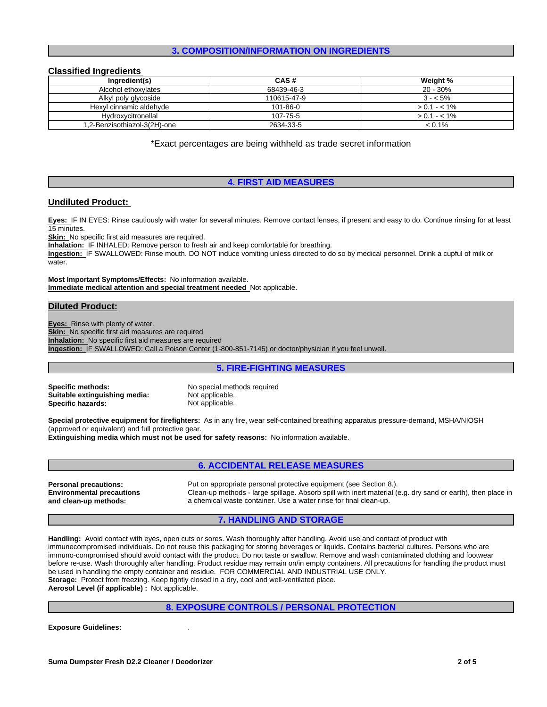#### **3. COMPOSITION/INFORMATION ON INGREDIENTS**

#### **Classified Ingredients**

| Ingredient(s)                | CAS#        | Weight %      |
|------------------------------|-------------|---------------|
| Alcohol ethoxylates          | 68439-46-3  | $20 - 30%$    |
| Alkyl poly glycoside         | 110615-47-9 | $3 - 5\%$     |
| Hexyl cinnamic aldehyde      | 101-86-0    | $> 0.1 - 1\%$ |
| Hydroxycitronellal           | 107-75-5    | $> 0.1 - 1\%$ |
| 1,2-Benzisothiazol-3(2H)-one | 2634-33-5   | $< 0.1\%$     |

\*Exact percentages are being withheld as trade secret information

#### **4. FIRST AID MEASURES**

#### **Undiluted Product:**

**Eyes:** IF IN EYES: Rinse cautiously with water for several minutes. Remove contact lenses, if present and easy to do. Continue rinsing for at least 15 minutes.

**Skin:** No specific first aid measures are required.

**Inhalation:** IF INHALED: Remove person to fresh air and keep comfortable for breathing.

**Ingestion:** IF SWALLOWED: Rinse mouth. DO NOT induce vomiting unless directed to do so by medical personnel. Drink a cupful of milk or water.

**Most Important Symptoms/Effects:** No information available. **Immediate medical attention and special treatment needed** Not applicable.

#### **Diluted Product:**

**Eyes:** Rinse with plenty of water. **Skin:** No specific first aid measures are required **Inhalation:** No specific first aid measures are required **Ingestion:** IF SWALLOWED: Call a Poison Center (1-800-851-7145) or doctor/physician if you feel unwell.

#### **5. FIRE-FIGHTING MEASURES**

**Suitable extinguishing media:** Not applicable.<br> **Specific hazards:** Not applicable. **Specific hazards:** 

**Specific methods:** No special methods required

**Special protective equipment for firefighters:** As in any fire, wear self-contained breathing apparatus pressure-demand, MSHA/NIOSH (approved or equivalent) and full protective gear.

**Extinguishing media which must not be used for safety reasons:** No information available.

|                                                                  | <b>6. ACCIDENTAL RELEASE MEASURES</b>                                                                                                                                             |
|------------------------------------------------------------------|-----------------------------------------------------------------------------------------------------------------------------------------------------------------------------------|
| <b>Personal precautions:</b><br><b>Environmental precautions</b> | Put on appropriate personal protective equipment (see Section 8.).<br>Clean-up methods - large spillage. Absorb spill with inert material (e.g. dry sand or earth), then place in |
| and clean-up methods:                                            | a chemical waste container. Use a water rinse for final clean-up.                                                                                                                 |

#### **7. HANDLING AND STORAGE**

**Handling:** Avoid contact with eyes, open cuts or sores. Wash thoroughly after handling. Avoid use and contact of product with immunecompromised individuals. Do not reuse this packaging for storing beverages or liquids. Contains bacterial cultures. Persons who are immuno-compromised should avoid contact with the product. Do not taste or swallow. Remove and wash contaminated clothing and footwear before re-use. Wash thoroughly after handling. Product residue may remain on/in empty containers. All precautions for handling the product must be used in handling the empty container and residue. FOR COMMERCIAL AND INDUSTRIAL USE ONLY. **Storage:** Protect from freezing. Keep tightly closed in a dry, cool and well-ventilated place. **Aerosol Level (if applicable) :** Not applicable.

#### **8. EXPOSURE CONTROLS / PERSONAL PROTECTION**

**Exposure Guidelines:** .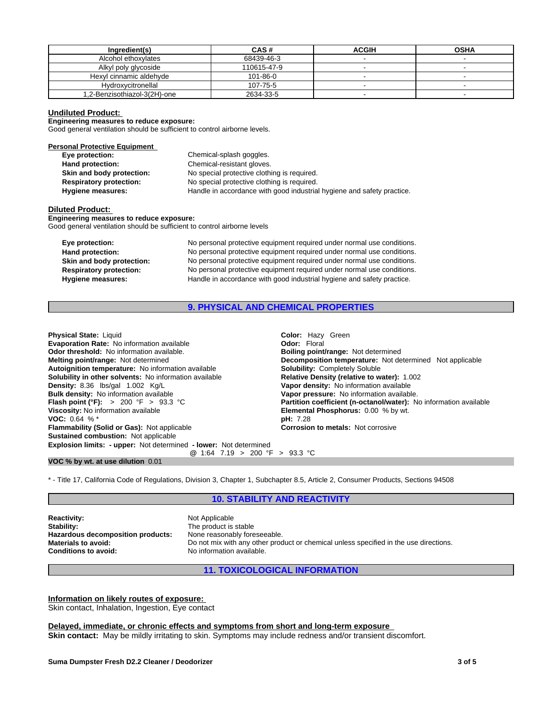| Ingredient(s)                | CAS#        | <b>ACGIH</b> | <b>OSHA</b> |
|------------------------------|-------------|--------------|-------------|
| Alcohol ethoxylates          | 68439-46-3  |              |             |
| Alkyl poly glycoside         | 110615-47-9 |              |             |
| Hexyl cinnamic aldehvde      | 101-86-0    |              |             |
| Hydroxycitronellal           | 107-75-5    |              |             |
| 1,2-Benzisothiazol-3(2H)-one | 2634-33-5   |              |             |

#### **Undiluted Product:**

**Engineering measures to reduce exposure:**

Good general ventilation should be sufficient to control airborne levels.

| <b>Personal Protective Equipment</b> |                                                                        |
|--------------------------------------|------------------------------------------------------------------------|
| Eye protection:                      | Chemical-splash goggles.                                               |
| Hand protection:                     | Chemical-resistant gloves.                                             |
| Skin and body protection:            | No special protective clothing is required.                            |
| <b>Respiratory protection:</b>       | No special protective clothing is required.                            |
| <b>Hygiene measures:</b>             | Handle in accordance with good industrial hygiene and safety practice. |
|                                      |                                                                        |

#### **Diluted Product:**

**Engineering measures to reduce exposure:** Good general ventilation should be sufficient to control airborne levels

| Eye protection:                | No personal protective equipment required under normal use conditions. |
|--------------------------------|------------------------------------------------------------------------|
| Hand protection:               | No personal protective equipment required under normal use conditions. |
| Skin and body protection:      | No personal protective equipment required under normal use conditions. |
| <b>Respiratory protection:</b> | No personal protective equipment required under normal use conditions. |
| Hygiene measures:              | Handle in accordance with good industrial hygiene and safety practice. |

# **9. PHYSICAL AND CHEMICAL PROPERTIES**

| <b>Physical State: Liquid</b>                                            | Color: Hazy Green                                                 |
|--------------------------------------------------------------------------|-------------------------------------------------------------------|
| <b>Evaporation Rate: No information available</b>                        | <b>Odor: Floral</b>                                               |
| <b>Odor threshold:</b> No information available.                         | <b>Boiling point/range: Not determined</b>                        |
| <b>Melting point/range: Not determined</b>                               | <b>Decomposition temperature:</b> Not determined Not applicable   |
| Autoignition temperature: No information available                       | <b>Solubility: Completely Soluble</b>                             |
| <b>Solubility in other solvents:</b> No information available            | Relative Density (relative to water): 1.002                       |
| Density: 8.36 lbs/gal 1.002 Kg/L                                         | Vapor density: No information available                           |
| <b>Bulk density:</b> No information available                            | Vapor pressure: No information available.                         |
| <b>Flash point (°F):</b> > 200 °F > 93.3 °C                              | Partition coefficient (n-octanol/water): No information available |
| Viscosity: No information available                                      | <b>Elemental Phosphorus: 0.00 % by wt.</b>                        |
| <b>VOC:</b> 0.64 % $*$                                                   | <b>pH:</b> 7.28                                                   |
| <b>Flammability (Solid or Gas): Not applicable</b>                       | <b>Corrosion to metals: Not corrosive</b>                         |
| <b>Sustained combustion: Not applicable</b>                              |                                                                   |
| <b>Explosion limits: - upper:</b> Not determined - lower: Not determined |                                                                   |
| @ 1:64 7.19 > 200 °F > 93.3 °C                                           |                                                                   |
| VOC % by wt. at use dilution 0.01                                        |                                                                   |

\* - Title 17, California Code of Regulations, Division 3, Chapter 1, Subchapter 8.5, Article 2, Consumer Products, Sections 94508

#### **10. STABILITY AND REACTIVITY**

**Reactivity:** Not Applicable Stability: Not Applicable Stability: **Hazardous decomposition products:**<br>Materials to avoid: **Conditions to avoid:** No information available.

The product is stable<br>None reasonably foreseeable. Do not mix with any other product or chemical unless specified in the use directions.

## **11. TOXICOLOGICAL INFORMATION**

### **Information on likely routes of exposure:**

Skin contact, Inhalation, Ingestion, Eye contact

#### **Delayed, immediate, or chronic effects and symptoms from short and long-term exposure**

**Skin contact:** May be mildly irritating to skin. Symptoms may include redness and/or transient discomfort.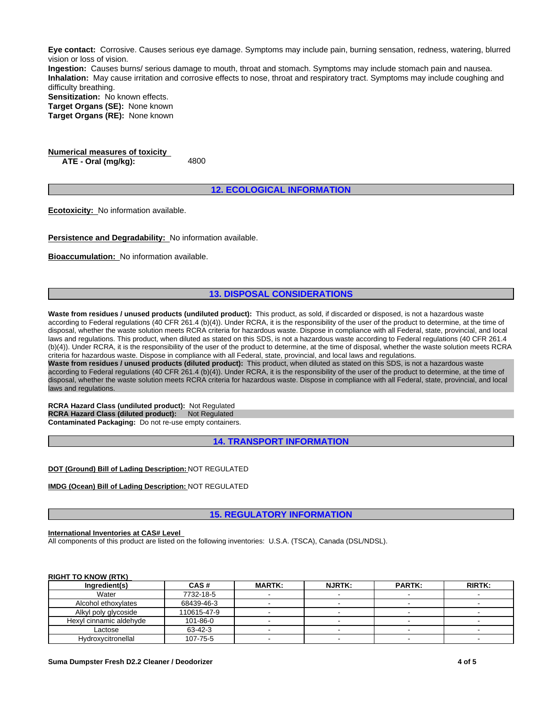**Eye contact:** Corrosive. Causes serious eye damage. Symptoms may include pain, burning sensation, redness, watering, blurred vision or loss of vision.

**Ingestion:** Causes burns/ serious damage to mouth, throat and stomach. Symptoms may include stomach pain and nausea. **Inhalation:** May cause irritation and corrosive effects to nose, throat and respiratory tract. Symptoms may include coughing and difficulty breathing.

**Sensitization:** No known effects. **Target Organs (SE):** None known

**Target Organs (RE):** None known

**Numerical measures of toxicity ATE - Oral** (mg/kg):

**12. ECOLOGICAL INFORMATION**

**Ecotoxicity:** No information available.

**Persistence and Degradability:** No information available.

**Bioaccumulation:** No information available.

#### **13. DISPOSAL CONSIDERATIONS**

**Waste from residues / unused products (undiluted product):** This product, as sold, if discarded or disposed, is not a hazardous waste according to Federal regulations (40 CFR 261.4 (b)(4)). Under RCRA, it is the responsibility of the user of the product to determine, at the time of disposal, whether the waste solution meets RCRA criteria for hazardous waste. Dispose in compliance with all Federal, state, provincial, and local laws and regulations. This product, when diluted as stated on this SDS, is not a hazardous waste according to Federal regulations (40 CFR 261.4 (b)(4)). Under RCRA, it is the responsibility of the user of the product to determine, at the time of disposal, whether the waste solution meets RCRA criteria for hazardous waste. Dispose in compliance with all Federal, state, provincial, and local laws and regulations. **Waste from residues / unused products (diluted product):** This product, when diluted as stated on this SDS, is not a hazardous waste

according to Federal regulations (40 CFR 261.4 (b)(4)). Under RCRA, it is the responsibility of the user of the product to determine, at the time of disposal, whether the waste solution meets RCRA criteria for hazardous waste. Dispose in compliance with all Federal, state, provincial, and local laws and regulations.

**RCRA Hazard Class (undiluted product):** Not Regulated **RCRA Hazard Class (diluted product):** Not Regulated **Contaminated Packaging:** Do not re-use empty containers.

**14. TRANSPORT INFORMATION**

**DOT (Ground) Bill of Lading Description:** NOT REGULATED

**IMDG (Ocean) Bill of Lading Description:** NOT REGULATED

**15. REGULATORY INFORMATION**

#### **International Inventories at CAS# Level**

All components of this product are listed on the following inventories: U.S.A. (TSCA), Canada (DSL/NDSL).

#### **RIGHT TO KNOW (RTK)**

| Ingredient(s)           | CAS#        | <b>MARTK:</b> | <b>NJRTK:</b> | <b>PARTK:</b> | <b>RIRTK:</b> |
|-------------------------|-------------|---------------|---------------|---------------|---------------|
| Water                   | 7732-18-5   |               |               |               |               |
| Alcohol ethoxylates     | 68439-46-3  |               |               |               |               |
| Alkyl poly glycoside    | 110615-47-9 |               |               |               |               |
| Hexyl cinnamic aldehyde | 101-86-0    |               |               |               |               |
| Lactose                 | 63-42-3     |               |               |               |               |
| Hydroxycitronellal      | 107-75-5    |               |               |               |               |